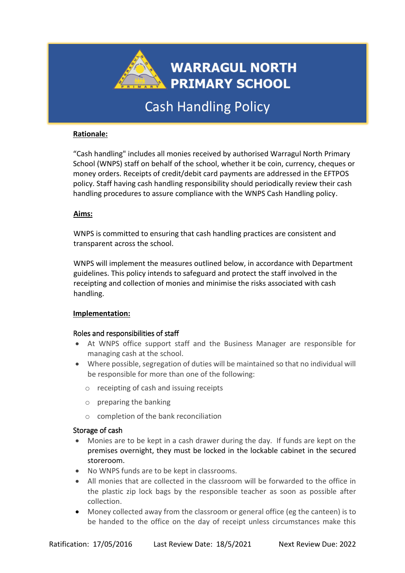

# Cash Handling Policy

# **Rationale:**

"Cash handling" includes all monies received by authorised Warragul North Primary School (WNPS) staff on behalf of the school, whether it be coin, currency, cheques or money orders. Receipts of credit/debit card payments are addressed in the EFTPOS policy. Staff having cash handling responsibility should periodically review their cash handling procedures to assure compliance with the WNPS Cash Handling policy.

## **Aims:**

WNPS is committed to ensuring that cash handling practices are consistent and transparent across the school.

WNPS will implement the measures outlined below, in accordance with Department guidelines. This policy intends to safeguard and protect the staff involved in the receipting and collection of monies and minimise the risks associated with cash handling.

## **Implementation:**

# Roles and responsibilities of staff

- At WNPS office support staff and the Business Manager are responsible for managing cash at the school.
- Where possible, segregation of duties will be maintained so that no individual will be responsible for more than one of the following:
	- o receipting of cash and issuing receipts
	- o preparing the banking
	- o completion of the bank reconciliation

## Storage of cash

- Monies are to be kept in a cash drawer during the day. If funds are kept on the premises overnight, they must be locked in the lockable cabinet in the secured storeroom.
- No WNPS funds are to be kept in classrooms.
- All monies that are collected in the classroom will be forwarded to the office in the plastic zip lock bags by the responsible teacher as soon as possible after collection.
- Money collected away from the classroom or general office (eg the canteen) is to be handed to the office on the day of receipt unless circumstances make this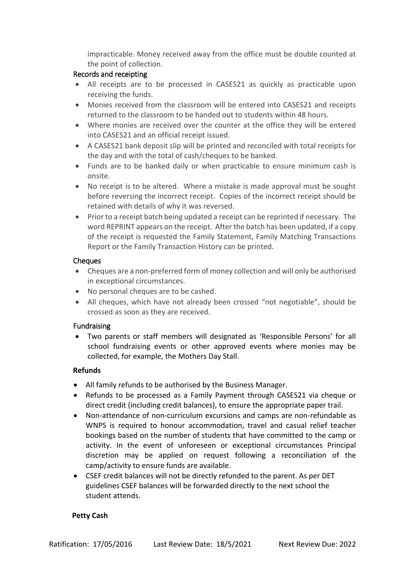impracticable. Money received away from the office must be double counted at the point of collection.

# Records and receipting

- All receipts are to be processed in CASES21 as quickly as practicable upon receiving the funds.
- Monies received from the classroom will be entered into CASES21 and receipts returned to the classroom to be handed out to students within 48 hours.
- Where monies are received over the counter at the office they will be entered into CASES21 and an official receipt issued.
- A CASES21 bank deposit slip will be printed and reconciled with total receipts for the day and with the total of cash/cheques to be banked.
- Funds are to be banked daily or when practicable to ensure minimum cash is onsite.
- No receipt is to be altered. Where a mistake is made approval must be sought before reversing the incorrect receipt. Copies of the incorrect receipt should be retained with details of why it was reversed.
- Prior to a receipt batch being updated a receipt can be reprinted if necessary. The word REPRINT appears on the receipt. After the batch has been updated, if a copy of the receipt is requested the Family Statement, Family Matching Transactions Report or the Family Transaction History can be printed.

## Cheques

- Cheques are a non-preferred form of money collection and will only be authorised in exceptional circumstances.
- No personal cheques are to be cashed.
- All cheques, which have not already been crossed "not negotiable", should be crossed as soon as they are received.

# Fundraising

• Two parents or staff members will designated as 'Responsible Persons' for all school fundraising events or other approved events where monies may be collected, for example, the Mothers Day Stall.

## **Refunds**

- All family refunds to be authorised by the Business Manager.
- Refunds to be processed as a Family Payment through CASES21 via cheque or direct credit (including credit balances), to ensure the appropriate paper trail.
- Non-attendance of non-curriculum excursions and camps are non-refundable as WNPS is required to honour accommodation, travel and casual relief teacher bookings based on the number of students that have committed to the camp or activity. In the event of unforeseen or exceptional circumstances Principal discretion may be applied on request following a reconciliation of the camp/activity to ensure funds are available.
- CSEF credit balances will not be directly refunded to the parent. As per DET guidelines CSEF balances will be forwarded directly to the next school the student attends.

## **Petty Cash**